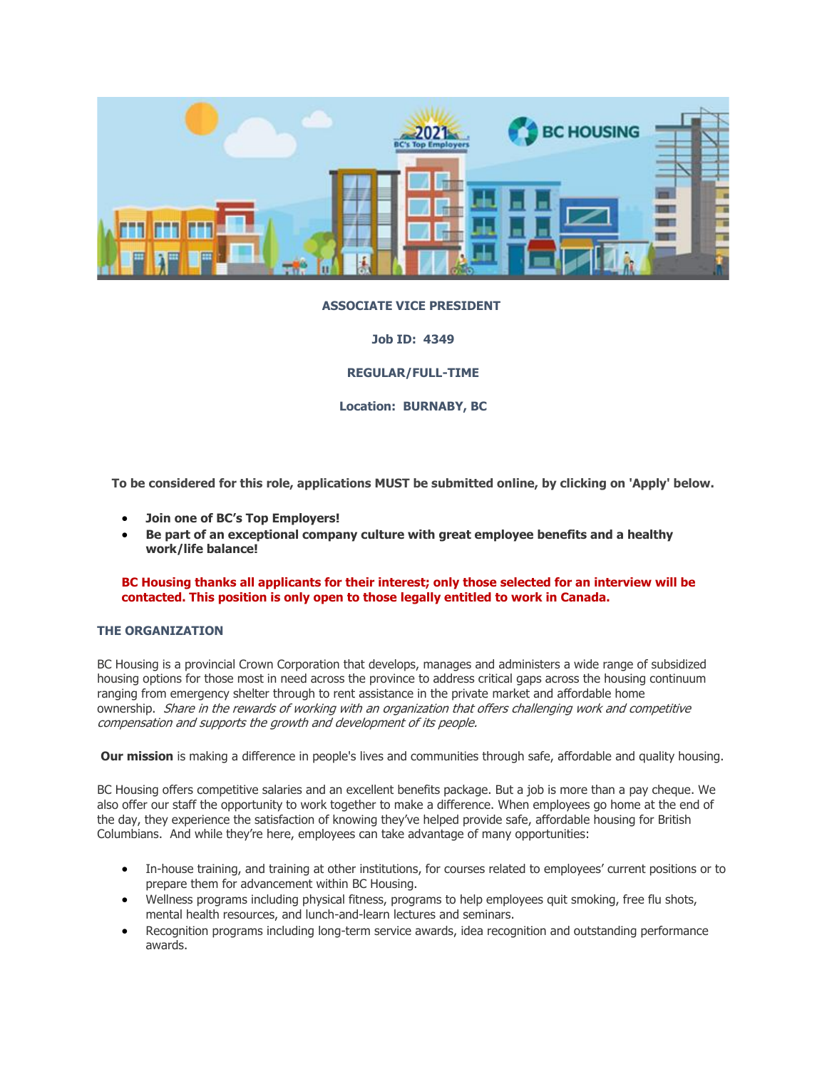

# **ASSOCIATE VICE PRESIDENT**

**Job ID: 4349**

**REGULAR/FULL-TIME**

**Location: BURNABY, BC**

**To be considered for this role, applications MUST be submitted online, by clicking on 'Apply' below.**

- **Join one of BC's Top Employers!**
- **Be part of an exceptional company culture with great employee benefits and a healthy work/life balance!**

**BC Housing thanks all applicants for their interest; only those selected for an interview will be contacted. This position is only open to those legally entitled to work in Canada.**

### **THE ORGANIZATION**

BC Housing is a provincial Crown Corporation that develops, manages and administers a wide range of subsidized housing options for those most in need across the province to address critical gaps across the housing continuum ranging from emergency shelter through to rent assistance in the private market and affordable home ownership. Share in the rewards of working with an organization that offers challenging work and competitive compensation and supports the growth and development of its people.

**Our mission** is making a difference in people's lives and communities through safe, affordable and quality housing.

BC Housing offers competitive salaries and an excellent benefits package. But a job is more than a pay cheque. We also offer our staff the opportunity to work together to make a difference. When employees go home at the end of the day, they experience the satisfaction of knowing they've helped provide safe, affordable housing for British Columbians. And while they're here, employees can take advantage of many opportunities:

- In-house training, and training at other institutions, for courses related to employees' current positions or to prepare them for advancement within BC Housing.
- Wellness programs including physical fitness, programs to help employees quit smoking, free flu shots, mental health resources, and lunch-and-learn lectures and seminars.
- Recognition programs including long-term service awards, idea recognition and outstanding performance awards.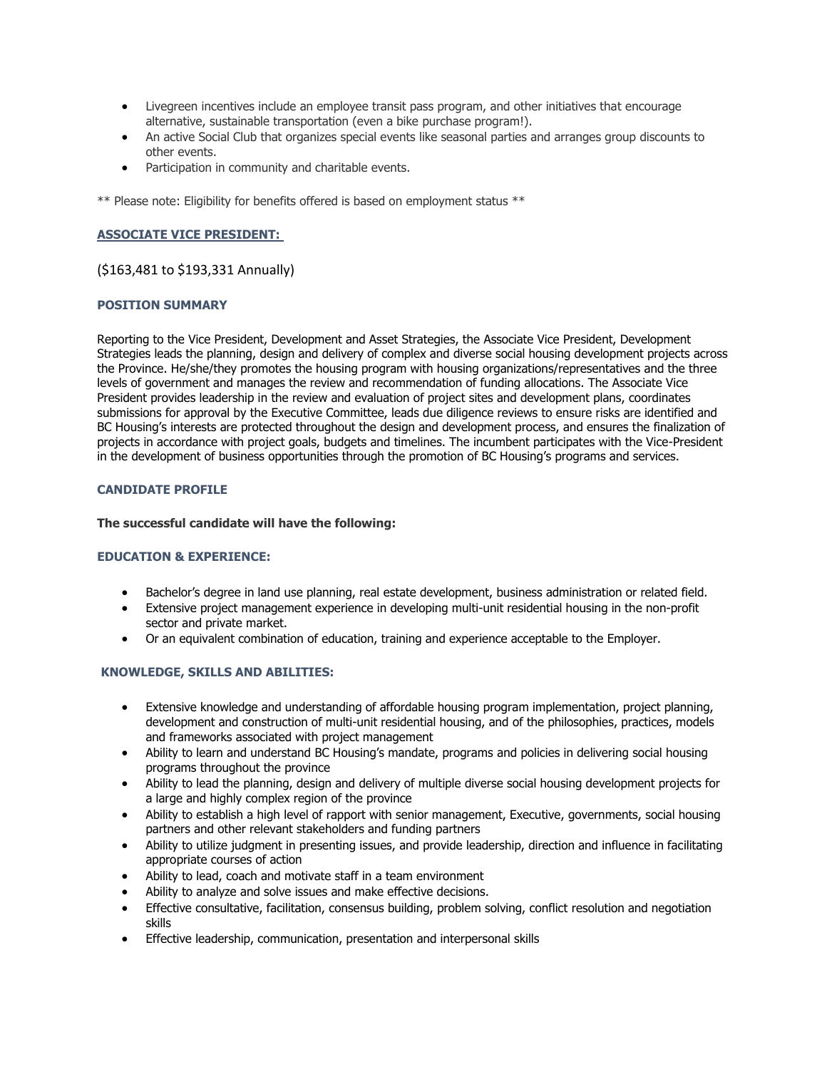- Livegreen incentives include an employee transit pass program, and other initiatives that encourage alternative, sustainable transportation (even a bike purchase program!).
- An active Social Club that organizes special events like seasonal parties and arranges group discounts to other events.
- Participation in community and charitable events.

\*\* Please note: Eligibility for benefits offered is based on employment status \*\*

# **ASSOCIATE VICE PRESIDENT:**

(\$163,481 to \$193,331 Annually)

### **POSITION SUMMARY**

Reporting to the Vice President, Development and Asset Strategies, the Associate Vice President, Development Strategies leads the planning, design and delivery of complex and diverse social housing development projects across the Province. He/she/they promotes the housing program with housing organizations/representatives and the three levels of government and manages the review and recommendation of funding allocations. The Associate Vice President provides leadership in the review and evaluation of project sites and development plans, coordinates submissions for approval by the Executive Committee, leads due diligence reviews to ensure risks are identified and BC Housing's interests are protected throughout the design and development process, and ensures the finalization of projects in accordance with project goals, budgets and timelines. The incumbent participates with the Vice-President in the development of business opportunities through the promotion of BC Housing's programs and services.

# **CANDIDATE PROFILE**

### **The successful candidate will have the following:**

## **EDUCATION & EXPERIENCE:**

- Bachelor's degree in land use planning, real estate development, business administration or related field.
- Extensive project management experience in developing multi-unit residential housing in the non-profit sector and private market.
- Or an equivalent combination of education, training and experience acceptable to the Employer.

# **KNOWLEDGE, SKILLS AND ABILITIES:**

- Extensive knowledge and understanding of affordable housing program implementation, project planning, development and construction of multi-unit residential housing, and of the philosophies, practices, models and frameworks associated with project management
- Ability to learn and understand BC Housing's mandate, programs and policies in delivering social housing programs throughout the province
- Ability to lead the planning, design and delivery of multiple diverse social housing development projects for a large and highly complex region of the province
- Ability to establish a high level of rapport with senior management, Executive, governments, social housing partners and other relevant stakeholders and funding partners
- Ability to utilize judgment in presenting issues, and provide leadership, direction and influence in facilitating appropriate courses of action
- Ability to lead, coach and motivate staff in a team environment
- Ability to analyze and solve issues and make effective decisions.
- Effective consultative, facilitation, consensus building, problem solving, conflict resolution and negotiation skills
- Effective leadership, communication, presentation and interpersonal skills